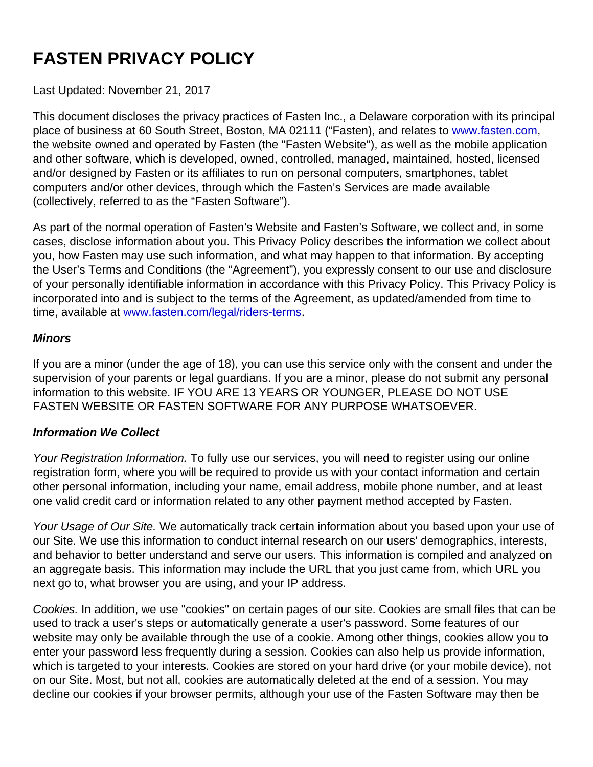# FASTEN PRIVACY POLICY

## Last Updated: November 21, 2017

This document discloses the privacy practices of Fasten Inc., a Delaware corporation with its principal place of business at 60 South Street, Boston, MA 02111 ("Fasten), and relates to [www.fasten.com,](http://www.fasten.com) the website owned and operated by Fasten (the "Fasten Website"), as well as the mobile application and other software, which is developed, owned, controlled, managed, maintained, hosted, licensed and/or designed by Fasten or its affiliates to run on personal computers, smartphones, tablet computers and/or other devices, through which the Fasten's Services are made available (collectively, referred to as the "Fasten Software").

As part of the normal operation of Fasten's Website and Fasten's Software, we collect and, in some cases, disclose information about you. This Privacy Policy describes the information we collect about you, how Fasten may use such information, and what may happen to that information. By accepting the User's Terms and Conditions (the "Agreement"), you expressly consent to our use and disclosure of your personally identifiable information in accordance with this Privacy Policy. This Privacy Policy is incorporated into and is subject to the terms of the Agreement, as updated/amended from time to time, available at [www.fasten.com/legal/riders-terms](https://fasten.com/legal/riders-terms).

#### Minors

If you are a minor (under the age of 18), you can use this service only with the consent and under the supervision of your parents or legal guardians. If you are a minor, please do not submit any personal information to this website. IF YOU ARE 13 YEARS OR YOUNGER, PLEASE DO NOT USE FASTEN WEBSITE OR FASTEN SOFTWARE FOR ANY PURPOSE WHATSOEVER.

#### Information We Collect

Your Registration Information. To fully use our services, you will need to register using our online registration form, where you will be required to provide us with your contact information and certain other personal information, including your name, email address, mobile phone number, and at least one valid credit card or information related to any other payment method accepted by Fasten.

Your Usage of Our Site. We automatically track certain information about you based upon your use of our Site. We use this information to conduct internal research on our users' demographics, interests, and behavior to better understand and serve our users. This information is compiled and analyzed on an aggregate basis. This information may include the URL that you just came from, which URL you next go to, what browser you are using, and your IP address.

Cookies. In addition, we use "cookies" on certain pages of our site. Cookies are small files that can be used to track a user's steps or automatically generate a user's password. Some features of our website may only be available through the use of a cookie. Among other things, cookies allow you to enter your password less frequently during a session. Cookies can also help us provide information, which is targeted to your interests. Cookies are stored on your hard drive (or your mobile device), not on our Site. Most, but not all, cookies are automatically deleted at the end of a session. You may decline our cookies if your browser permits, although your use of the Fasten Software may then be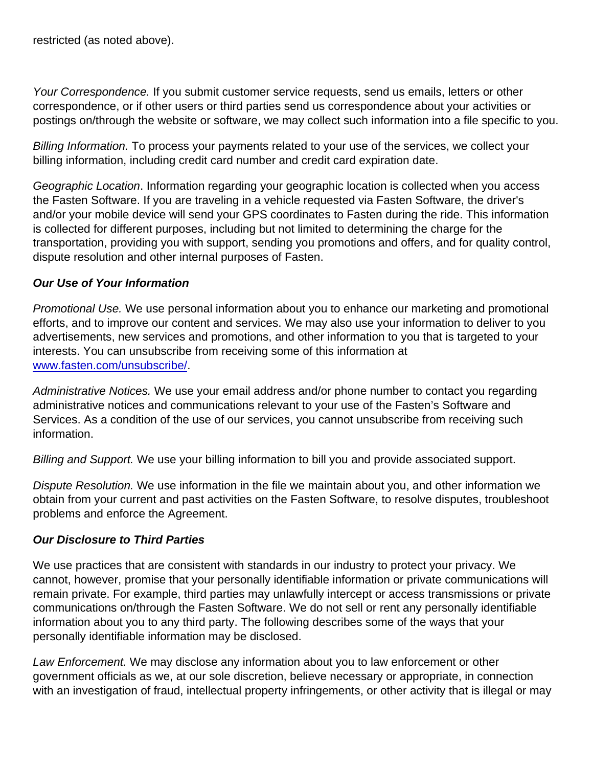restricted (as noted above).

Your Correspondence. If you submit customer service requests, send us emails, letters or other correspondence, or if other users or third parties send us correspondence about your activities or postings on/through the website or software, we may collect such information into a file specific to you.

Billing Information. To process your payments related to your use of the services, we collect your billing information, including credit card number and credit card expiration date.

Geographic Location. Information regarding your geographic location is collected when you access the Fasten Software. If you are traveling in a vehicle requested via Fasten Software, the driver's and/or your mobile device will send your GPS coordinates to Fasten during the ride. This information is collected for different purposes, including but not limited to determining the charge for the transportation, providing you with support, sending you promotions and offers, and for quality control, dispute resolution and other internal purposes of Fasten.

### Our Use of Your Information

Promotional Use. We use personal information about you to enhance our marketing and promotional efforts, and to improve our content and services. We may also use your information to deliver to you advertisements, new services and promotions, and other information to you that is targeted to your interests. You can unsubscribe from receiving some of this information at [www.fasten.com/unsubscribe/](http://www.fasten.com/unsubscribe/).

Administrative Notices. We use your email address and/or phone number to contact you regarding administrative notices and communications relevant to your use of the Fasten's Software and Services. As a condition of the use of our services, you cannot unsubscribe from receiving such information.

Billing and Support. We use your billing information to bill you and provide associated support.

Dispute Resolution. We use information in the file we maintain about you, and other information we obtain from your current and past activities on the Fasten Software, to resolve disputes, troubleshoot problems and enforce the Agreement.

#### Our Disclosure to Third Parties

We use practices that are consistent with standards in our industry to protect your privacy. We cannot, however, promise that your personally identifiable information or private communications will remain private. For example, third parties may unlawfully intercept or access transmissions or private communications on/through the Fasten Software. We do not sell or rent any personally identifiable information about you to any third party. The following describes some of the ways that your personally identifiable information may be disclosed.

Law Enforcement. We may disclose any information about you to law enforcement or other government officials as we, at our sole discretion, believe necessary or appropriate, in connection with an investigation of fraud, intellectual property infringements, or other activity that is illegal or may